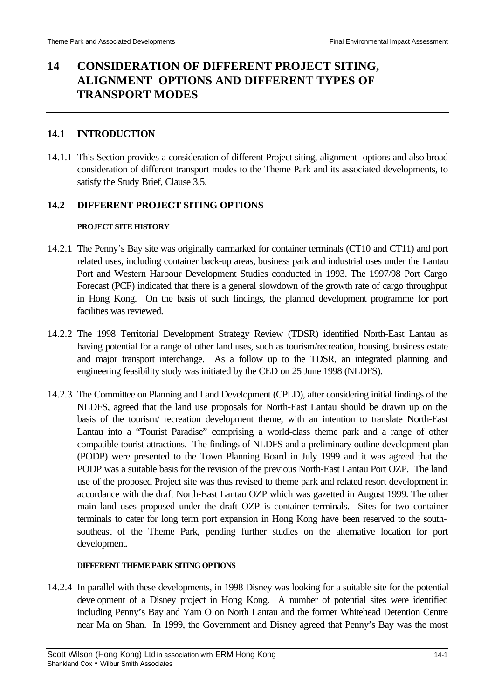# **14 CONSIDERATION OF DIFFERENT PROJECT SITING, ALIGNMENT OPTIONS AND DIFFERENT TYPES OF TRANSPORT MODES**

#### **14.1 INTRODUCTION**

14.1.1 This Section provides a consideration of different Project siting, alignment options and also broad consideration of different transport modes to the Theme Park and its associated developments, to satisfy the Study Brief, Clause 3.5.

#### **14.2 DIFFERENT PROJECT SITING OPTIONS**

#### **PROJECT SITE HISTORY**

- 14.2.1 The Penny's Bay site was originally earmarked for container terminals (CT10 and CT11) and port related uses, including container back-up areas, business park and industrial uses under the Lantau Port and Western Harbour Development Studies conducted in 1993. The 1997/98 Port Cargo Forecast (PCF) indicated that there is a general slowdown of the growth rate of cargo throughput in Hong Kong. On the basis of such findings, the planned development programme for port facilities was reviewed.
- 14.2.2 The 1998 Territorial Development Strategy Review (TDSR) identified North-East Lantau as having potential for a range of other land uses, such as tourism/recreation, housing, business estate and major transport interchange. As a follow up to the TDSR, an integrated planning and engineering feasibility study was initiated by the CED on 25 June 1998 (NLDFS).
- 14.2.3 The Committee on Planning and Land Development (CPLD), after considering initial findings of the NLDFS, agreed that the land use proposals for North-East Lantau should be drawn up on the basis of the tourism/ recreation development theme, with an intention to translate North-East Lantau into a "Tourist Paradise" comprising a world-class theme park and a range of other compatible tourist attractions. The findings of NLDFS and a preliminary outline development plan (PODP) were presented to the Town Planning Board in July 1999 and it was agreed that the PODP was a suitable basis for the revision of the previous North-East Lantau Port OZP. The land use of the proposed Project site was thus revised to theme park and related resort development in accordance with the draft North-East Lantau OZP which was gazetted in August 1999. The other main land uses proposed under the draft OZP is container terminals. Sites for two container terminals to cater for long term port expansion in Hong Kong have been reserved to the southsoutheast of the Theme Park, pending further studies on the alternative location for port development.

#### **DIFFERENT THEME PARK SITING OPTIONS**

14.2.4 In parallel with these developments, in 1998 Disney was looking for a suitable site for the potential development of a Disney project in Hong Kong. A number of potential sites were identified including Penny's Bay and Yam O on North Lantau and the former Whitehead Detention Centre near Ma on Shan. In 1999, the Government and Disney agreed that Penny's Bay was the most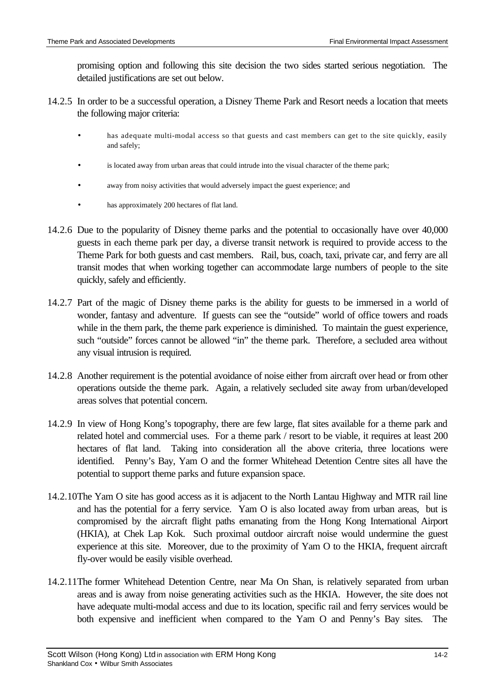promising option and following this site decision the two sides started serious negotiation. The detailed justifications are set out below.

- 14.2.5 In order to be a successful operation, a Disney Theme Park and Resort needs a location that meets the following major criteria:
	- has adequate multi-modal access so that guests and cast members can get to the site quickly, easily and safely;
	- is located away from urban areas that could intrude into the visual character of the theme park;
	- away from noisy activities that would adversely impact the guest experience; and
	- has approximately 200 hectares of flat land.
- 14.2.6 Due to the popularity of Disney theme parks and the potential to occasionally have over 40,000 guests in each theme park per day, a diverse transit network is required to provide access to the Theme Park for both guests and cast members. Rail, bus, coach, taxi, private car, and ferry are all transit modes that when working together can accommodate large numbers of people to the site quickly, safely and efficiently.
- 14.2.7 Part of the magic of Disney theme parks is the ability for guests to be immersed in a world of wonder, fantasy and adventure. If guests can see the "outside" world of office towers and roads while in the them park, the theme park experience is diminished. To maintain the guest experience, such "outside" forces cannot be allowed "in" the theme park. Therefore, a secluded area without any visual intrusion is required.
- 14.2.8 Another requirement is the potential avoidance of noise either from aircraft over head or from other operations outside the theme park. Again, a relatively secluded site away from urban/developed areas solves that potential concern.
- 14.2.9 In view of Hong Kong's topography, there are few large, flat sites available for a theme park and related hotel and commercial uses. For a theme park / resort to be viable, it requires at least 200 hectares of flat land. Taking into consideration all the above criteria, three locations were identified. Penny's Bay, Yam O and the former Whitehead Detention Centre sites all have the potential to support theme parks and future expansion space.
- 14.2.10 The Yam O site has good access as it is adjacent to the North Lantau Highway and MTR rail line and has the potential for a ferry service. Yam O is also located away from urban areas, but is compromised by the aircraft flight paths emanating from the Hong Kong International Airport (HKIA), at Chek Lap Kok. Such proximal outdoor aircraft noise would undermine the guest experience at this site. Moreover, due to the proximity of Yam O to the HKIA, frequent aircraft fly-over would be easily visible overhead.
- 14.2.11 The former Whitehead Detention Centre, near Ma On Shan, is relatively separated from urban areas and is away from noise generating activities such as the HKIA. However, the site does not have adequate multi-modal access and due to its location, specific rail and ferry services would be both expensive and inefficient when compared to the Yam O and Penny's Bay sites. The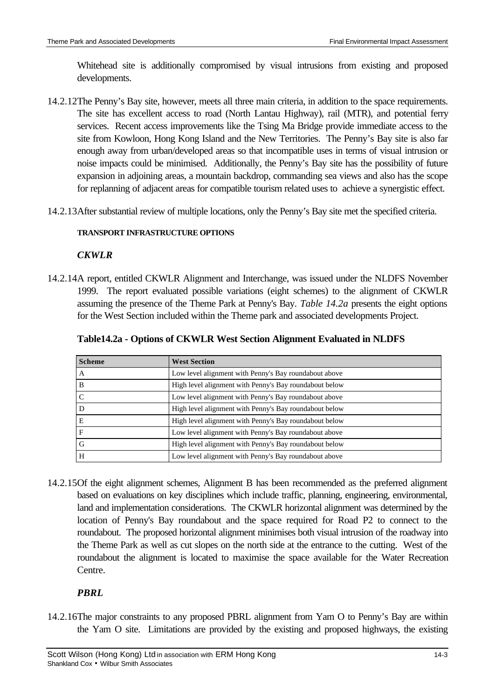Whitehead site is additionally compromised by visual intrusions from existing and proposed developments.

- 14.2.12 The Penny's Bay site, however, meets all three main criteria, in addition to the space requirements. The site has excellent access to road (North Lantau Highway), rail (MTR), and potential ferry services. Recent access improvements like the Tsing Ma Bridge provide immediate access to the site from Kowloon, Hong Kong Island and the New Territories. The Penny's Bay site is also far enough away from urban/developed areas so that incompatible uses in terms of visual intrusion or noise impacts could be minimised. Additionally, the Penny's Bay site has the possibility of future expansion in adjoining areas, a mountain backdrop, commanding sea views and also has the scope for replanning of adjacent areas for compatible tourism related uses to achieve a synergistic effect.
- 14.2.13 After substantial review of multiple locations, only the Penny's Bay site met the specified criteria.

#### **TRANSPORT INFRASTRUCTURE OPTIONS**

#### *CKWLR*

14.2.14 A report, entitled CKWLR Alignment and Interchange, was issued under the NLDFS November 1999. The report evaluated possible variations (eight schemes) to the alignment of CKWLR assuming the presence of the Theme Park at Penny's Bay. *Table 14.2a* presents the eight options for the West Section included within the Theme park and associated developments Project.

| <b>Scheme</b> | <b>West Section</b>                                    |  |  |  |  |
|---------------|--------------------------------------------------------|--|--|--|--|
| A             | Low level alignment with Penny's Bay roundabout above  |  |  |  |  |
| B             | High level alignment with Penny's Bay roundabout below |  |  |  |  |
|               | Low level alignment with Penny's Bay roundabout above  |  |  |  |  |
|               | High level alignment with Penny's Bay roundabout below |  |  |  |  |
| E             | High level alignment with Penny's Bay roundabout below |  |  |  |  |
| F             | Low level alignment with Penny's Bay roundabout above  |  |  |  |  |
| G             | High level alignment with Penny's Bay roundabout below |  |  |  |  |
| Н             | Low level alignment with Penny's Bay roundabout above  |  |  |  |  |

**Table14.2a - Options of CKWLR West Section Alignment Evaluated in NLDFS**

14.2.15 Of the eight alignment schemes, Alignment B has been recommended as the preferred alignment based on evaluations on key disciplines which include traffic, planning, engineering, environmental, land and implementation considerations. The CKWLR horizontal alignment was determined by the location of Penny's Bay roundabout and the space required for Road P2 to connect to the roundabout. The proposed horizontal alignment minimises both visual intrusion of the roadway into the Theme Park as well as cut slopes on the north side at the entrance to the cutting. West of the roundabout the alignment is located to maximise the space available for the Water Recreation Centre.

### *PBRL*

14.2.16 The major constraints to any proposed PBRL alignment from Yam O to Penny's Bay are within the Yam O site. Limitations are provided by the existing and proposed highways, the existing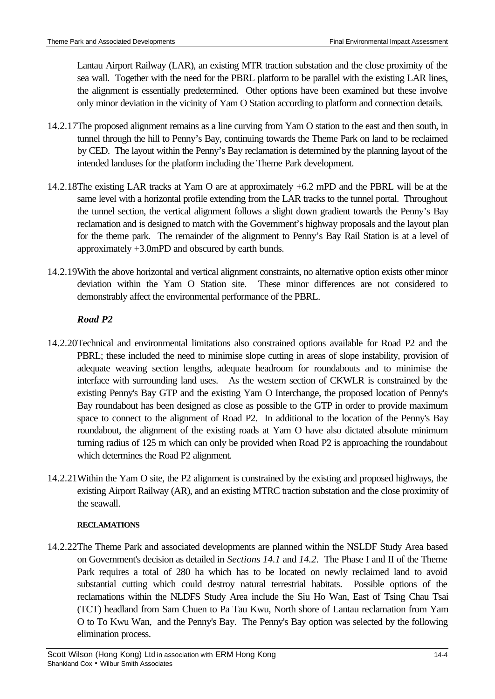Lantau Airport Railway (LAR), an existing MTR traction substation and the close proximity of the sea wall. Together with the need for the PBRL platform to be parallel with the existing LAR lines, the alignment is essentially predetermined. Other options have been examined but these involve only minor deviation in the vicinity of Yam O Station according to platform and connection details.

- 14.2.17 The proposed alignment remains as a line curving from Yam O station to the east and then south, in tunnel through the hill to Penny's Bay, continuing towards the Theme Park on land to be reclaimed by CED. The layout within the Penny's Bay reclamation is determined by the planning layout of the intended landuses for the platform including the Theme Park development.
- 14.2.18 The existing LAR tracks at Yam O are at approximately +6.2 mPD and the PBRL will be at the same level with a horizontal profile extending from the LAR tracks to the tunnel portal. Throughout the tunnel section, the vertical alignment follows a slight down gradient towards the Penny's Bay reclamation and is designed to match with the Government's highway proposals and the layout plan for the theme park. The remainder of the alignment to Penny's Bay Rail Station is at a level of approximately +3.0mPD and obscured by earth bunds.
- 14.2.19 With the above horizontal and vertical alignment constraints, no alternative option exists other minor deviation within the Yam O Station site. These minor differences are not considered to demonstrably affect the environmental performance of the PBRL.

## *Road P2*

- 14.2.20 Technical and environmental limitations also constrained options available for Road P2 and the PBRL; these included the need to minimise slope cutting in areas of slope instability, provision of adequate weaving section lengths, adequate headroom for roundabouts and to minimise the interface with surrounding land uses. As the western section of CKWLR is constrained by the existing Penny's Bay GTP and the existing Yam O Interchange, the proposed location of Penny's Bay roundabout has been designed as close as possible to the GTP in order to provide maximum space to connect to the alignment of Road P2. In additional to the location of the Penny's Bay roundabout, the alignment of the existing roads at Yam O have also dictated absolute minimum turning radius of 125 m which can only be provided when Road P2 is approaching the roundabout which determines the Road P2 alignment.
- 14.2.21 Within the Yam O site, the P2 alignment is constrained by the existing and proposed highways, the existing Airport Railway (AR), and an existing MTRC traction substation and the close proximity of the seawall.

#### **RECLAMATIONS**

14.2.22 The Theme Park and associated developments are planned within the NSLDF Study Area based on Government's decision as detailed in *Sections 14.1* and *14.2*. The Phase I and II of the Theme Park requires a total of 280 ha which has to be located on newly reclaimed land to avoid substantial cutting which could destroy natural terrestrial habitats. Possible options of the reclamations within the NLDFS Study Area include the Siu Ho Wan, East of Tsing Chau Tsai (TCT) headland from Sam Chuen to Pa Tau Kwu, North shore of Lantau reclamation from Yam O to To Kwu Wan, and the Penny's Bay. The Penny's Bay option was selected by the following elimination process.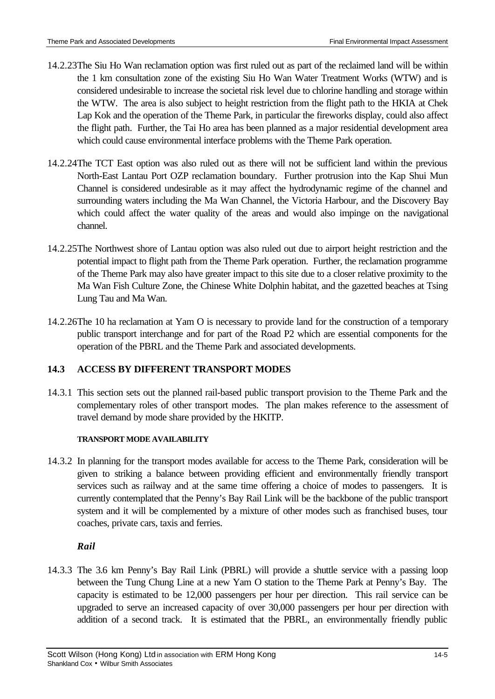- 14.2.23 The Siu Ho Wan reclamation option was first ruled out as part of the reclaimed land will be within the 1 km consultation zone of the existing Siu Ho Wan Water Treatment Works (WTW) and is considered undesirable to increase the societal risk level due to chlorine handling and storage within the WTW. The area is also subject to height restriction from the flight path to the HKIA at Chek Lap Kok and the operation of the Theme Park, in particular the fireworks display, could also affect the flight path. Further, the Tai Ho area has been planned as a major residential development area which could cause environmental interface problems with the Theme Park operation.
- 14.2.24 The TCT East option was also ruled out as there will not be sufficient land within the previous North-East Lantau Port OZP reclamation boundary. Further protrusion into the Kap Shui Mun Channel is considered undesirable as it may affect the hydrodynamic regime of the channel and surrounding waters including the Ma Wan Channel, the Victoria Harbour, and the Discovery Bay which could affect the water quality of the areas and would also impinge on the navigational channel.
- 14.2.25 The Northwest shore of Lantau option was also ruled out due to airport height restriction and the potential impact to flight path from the Theme Park operation. Further, the reclamation programme of the Theme Park may also have greater impact to this site due to a closer relative proximity to the Ma Wan Fish Culture Zone, the Chinese White Dolphin habitat, and the gazetted beaches at Tsing Lung Tau and Ma Wan.
- 14.2.26 The 10 ha reclamation at Yam O is necessary to provide land for the construction of a temporary public transport interchange and for part of the Road P2 which are essential components for the operation of the PBRL and the Theme Park and associated developments.

# **14.3 ACCESS BY DIFFERENT TRANSPORT MODES**

14.3.1 This section sets out the planned rail-based public transport provision to the Theme Park and the complementary roles of other transport modes. The plan makes reference to the assessment of travel demand by mode share provided by the HKITP.

### **TRANSPORT MODE AVAILABILITY**

14.3.2 In planning for the transport modes available for access to the Theme Park, consideration will be given to striking a balance between providing efficient and environmentally friendly transport services such as railway and at the same time offering a choice of modes to passengers. It is currently contemplated that the Penny's Bay Rail Link will be the backbone of the public transport system and it will be complemented by a mixture of other modes such as franchised buses, tour coaches, private cars, taxis and ferries.

### *Rail*

14.3.3 The 3.6 km Penny's Bay Rail Link (PBRL) will provide a shuttle service with a passing loop between the Tung Chung Line at a new Yam O station to the Theme Park at Penny's Bay. The capacity is estimated to be 12,000 passengers per hour per direction. This rail service can be upgraded to serve an increased capacity of over 30,000 passengers per hour per direction with addition of a second track. It is estimated that the PBRL, an environmentally friendly public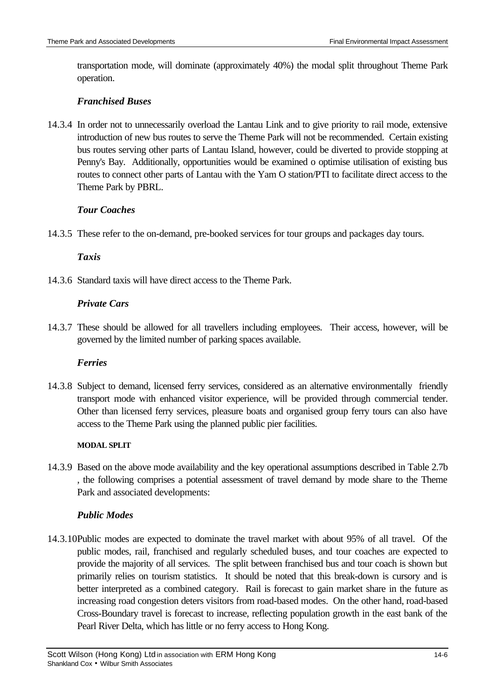transportation mode, will dominate (approximately 40%) the modal split throughout Theme Park operation.

### *Franchised Buses*

14.3.4 In order not to unnecessarily overload the Lantau Link and to give priority to rail mode, extensive introduction of new bus routes to serve the Theme Park will not be recommended. Certain existing bus routes serving other parts of Lantau Island, however, could be diverted to provide stopping at Penny's Bay. Additionally, opportunities would be examined o optimise utilisation of existing bus routes to connect other parts of Lantau with the Yam O station/PTI to facilitate direct access to the Theme Park by PBRL.

## *Tour Coaches*

14.3.5 These refer to the on-demand, pre-booked services for tour groups and packages day tours.

## *Taxis*

14.3.6 Standard taxis will have direct access to the Theme Park.

## *Private Cars*

14.3.7 These should be allowed for all travellers including employees. Their access, however, will be governed by the limited number of parking spaces available.

### *Ferries*

14.3.8 Subject to demand, licensed ferry services, considered as an alternative environmentally friendly transport mode with enhanced visitor experience, will be provided through commercial tender. Other than licensed ferry services, pleasure boats and organised group ferry tours can also have access to the Theme Park using the planned public pier facilities.

### **MODAL SPLIT**

14.3.9 Based on the above mode availability and the key operational assumptions described in Table 2.7b , the following comprises a potential assessment of travel demand by mode share to the Theme Park and associated developments:

### *Public Modes*

14.3.10 Public modes are expected to dominate the travel market with about 95% of all travel. Of the public modes, rail, franchised and regularly scheduled buses, and tour coaches are expected to provide the majority of all services. The split between franchised bus and tour coach is shown but primarily relies on tourism statistics. It should be noted that this break-down is cursory and is better interpreted as a combined category. Rail is forecast to gain market share in the future as increasing road congestion deters visitors from road-based modes. On the other hand, road-based Cross-Boundary travel is forecast to increase, reflecting population growth in the east bank of the Pearl River Delta, which has little or no ferry access to Hong Kong.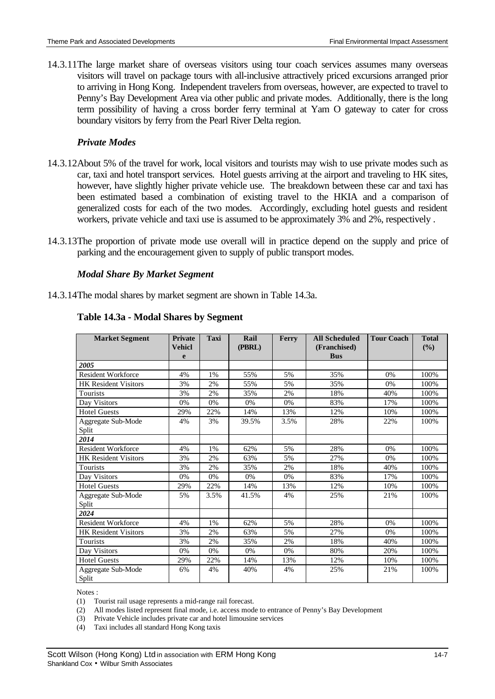14.3.11 The large market share of overseas visitors using tour coach services assumes many overseas visitors will travel on package tours with all-inclusive attractively priced excursions arranged prior to arriving in Hong Kong. Independent travelers from overseas, however, are expected to travel to Penny's Bay Development Area via other public and private modes. Additionally, there is the long term possibility of having a cross border ferry terminal at Yam O gateway to cater for cross boundary visitors by ferry from the Pearl River Delta region.

#### *Private Modes*

- 14.3.12 About 5% of the travel for work, local visitors and tourists may wish to use private modes such as car, taxi and hotel transport services. Hotel guests arriving at the airport and traveling to HK sites, however, have slightly higher private vehicle use. The breakdown between these car and taxi has been estimated based a combination of existing travel to the HKIA and a comparison of generalized costs for each of the two modes. Accordingly, excluding hotel guests and resident workers, private vehicle and taxi use is assumed to be approximately 3% and 2%, respectively .
- 14.3.13 The proportion of private mode use overall will in practice depend on the supply and price of parking and the encouragement given to supply of public transport modes.

#### *Modal Share By Market Segment*

14.3.14 The modal shares by market segment are shown in Table 14.3a.

| <b>Market Segment</b>       | <b>Private</b><br><b>Vehicl</b><br>e | <b>Taxi</b> | Rail<br>(PBRL) | Ferry | <b>All Scheduled</b><br>(Franchised)<br><b>Bus</b> | <b>Tour Coach</b> | <b>Total</b><br>$(\frac{6}{6})$ |
|-----------------------------|--------------------------------------|-------------|----------------|-------|----------------------------------------------------|-------------------|---------------------------------|
| 2005                        |                                      |             |                |       |                                                    |                   |                                 |
| <b>Resident Workforce</b>   | 4%                                   | 1%          | 55%            | 5%    | 35%                                                | 0%                | 100%                            |
| <b>HK</b> Resident Visitors | 3%                                   | 2%          | 55%            | 5%    | 35%                                                | 0%                | 100%                            |
| Tourists                    | 3%                                   | 2%          | 35%            | 2%    | 18%                                                | 40%               | 100%                            |
| Day Visitors                | 0%                                   | 0%          | 0%             | 0%    | 83%                                                | 17%               | 100%                            |
| <b>Hotel Guests</b>         | 29%                                  | 22%         | 14%            | 13%   | 12%                                                | 10%               | 100%                            |
| Aggregate Sub-Mode<br>Split | 4%                                   | 3%          | 39.5%          | 3.5%  | 28%                                                | 22%               | 100%                            |
| 2014                        |                                      |             |                |       |                                                    |                   |                                 |
| <b>Resident Workforce</b>   | 4%                                   | 1%          | 62%            | 5%    | 28%                                                | 0%                | 100%                            |
| <b>HK</b> Resident Visitors | 3%                                   | 2%          | 63%            | 5%    | 27%                                                | 0%                | 100%                            |
| Tourists                    | 3%                                   | 2%          | 35%            | 2%    | 18%                                                | 40%               | 100%                            |
| Day Visitors                | 0%                                   | 0%          | 0%             | 0%    | 83%                                                | 17%               | 100%                            |
| <b>Hotel Guests</b>         | 29%                                  | 22%         | 14%            | 13%   | 12%                                                | 10%               | 100%                            |
| Aggregate Sub-Mode<br>Split | 5%                                   | 3.5%        | 41.5%          | 4%    | 25%                                                | 21%               | 100%                            |
| 2024                        |                                      |             |                |       |                                                    |                   |                                 |
| <b>Resident Workforce</b>   | 4%                                   | 1%          | 62%            | 5%    | 28%                                                | 0%                | 100%                            |
| <b>HK</b> Resident Visitors | 3%                                   | 2%          | 63%            | 5%    | 27%                                                | 0%                | 100%                            |
| Tourists                    | 3%                                   | 2%          | 35%            | 2%    | 18%                                                | 40%               | 100%                            |
| Day Visitors                | 0%                                   | 0%          | 0%             | 0%    | 80%                                                | 20%               | 100%                            |
| <b>Hotel Guests</b>         | 29%                                  | 22%         | 14%            | 13%   | 12%                                                | 10%               | 100%                            |
| Aggregate Sub-Mode<br>Split | 6%                                   | 4%          | 40%            | 4%    | 25%                                                | 21%               | 100%                            |

#### **Table 14.3a - Modal Shares by Segment**

Notes :

(1) Tourist rail usage represents a mid-range rail forecast.

(2) All modes listed represent final mode, i.e. access mode to entrance of Penny's Bay Development

(3) Private Vehicle includes private car and hotel limousine services

(4) Taxi includes all standard Hong Kong taxis